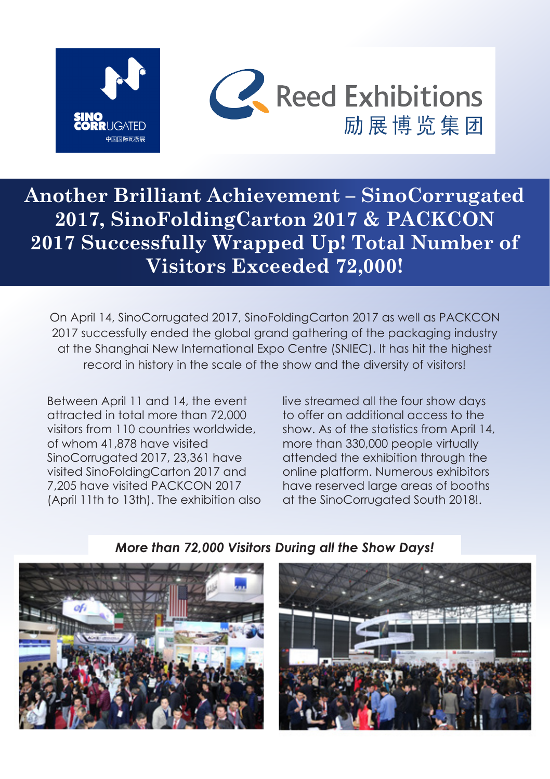



**Another Brilliant Achievement – SinoCorrugated 2017, SinoFoldingCarton 2017 & PACKCON 2017 Successfully Wrapped Up! Total Number of Visitors Exceeded 72,000!**

On April 14, SinoCorrugated 2017, SinoFoldingCarton 2017 as well as PACKCON 2017 successfully ended the global grand gathering of the packaging industry at the Shanghai New International Expo Centre (SNIEC). It has hit the highest record in history in the scale of the show and the diversity of visitors!

Between April 11 and 14, the event attracted in total more than 72,000 visitors from 110 countries worldwide, of whom 41,878 have visited SinoCorrugated 2017, 23,361 have visited SinoFoldingCarton 2017 and 7,205 have visited PACKCON 2017 (April 11th to 13th). The exhibition also

live streamed all the four show days to offer an additional access to the show. As of the statistics from April 14, more than 330,000 people virtually attended the exhibition through the online platform. Numerous exhibitors have reserved large areas of booths at the SinoCorrugated South 2018!.

*More than 72,000 Visitors During all the Show Days!*